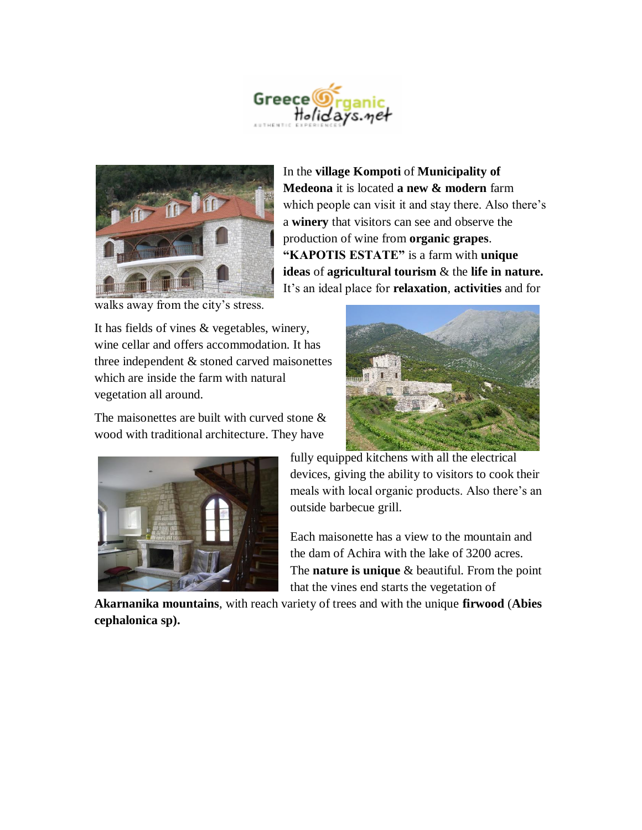



In the **village Kompoti** of **Municipality of Medeona** it is located **a new & modern** farm which people can visit it and stay there. Also there's a **winery** that visitors can see and observe the production of wine from **organic grapes**. **"KAPOTIS ESTATE"** is a farm with **unique ideas** of **agricultural tourism** & the **life in nature.** It's an ideal place for **relaxation**, **activities** and for

walks away from the city's stress.

It has fields of vines & vegetables, winery, wine cellar and offers accommodation. It has three independent & stoned carved maisonettes which are inside the farm with natural vegetation all around.

The maisonettes are built with curved stone  $\&$ wood with traditional architecture. They have





fully equipped kitchens with all the electrical devices, giving the ability to visitors to cook their meals with local organic products. Also there's an outside barbecue grill.

Each maisonette has a view to the mountain and the dam of Achira with the lake of 3200 acres. The **nature is unique** & beautiful. From the point that the vines end starts the vegetation of

**Akarnanika mountains**, with reach variety of trees and with the unique **firwood** (**Abies cephalonica sp).**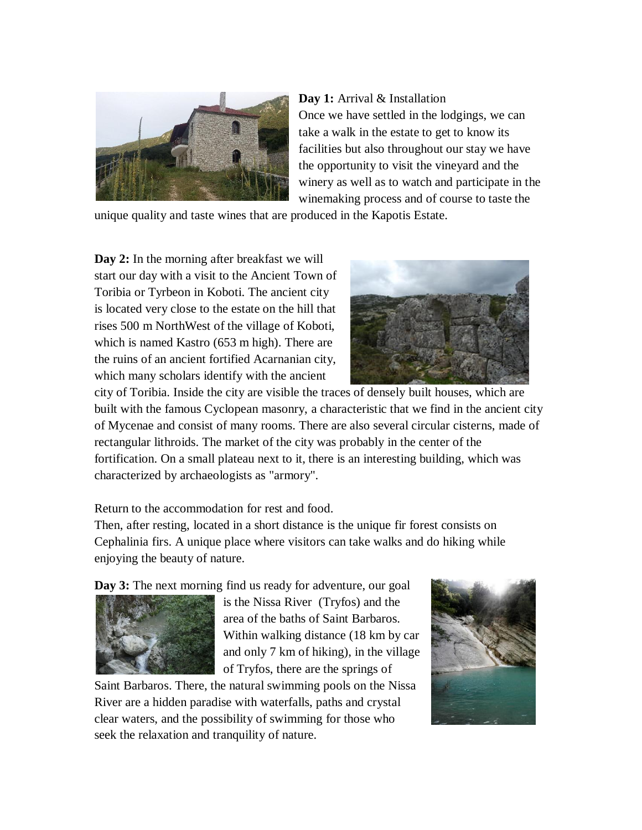

**Day 1:** Arrival & Installation Once we have settled in the lodgings, we can take a walk in the estate to get to know its facilities but also throughout our stay we have the opportunity to visit the vineyard and the winery as well as to watch and participate in the winemaking process and of course to taste the

unique quality and taste wines that are produced in the Kapotis Estate.

**Day 2:** In the morning after breakfast we will start our day with a visit to the Ancient Town of Toribia or Tyrbeon in Koboti. The ancient city is located very close to the estate on the hill that rises 500 m NorthWest of the village of Koboti, which is named Kastro (653 m high). There are the ruins of an ancient fortified Acarnanian city, which many scholars identify with the ancient



city of Toribia. Inside the city are visible the traces of densely built houses, which are built with the famous Cyclopean masonry, a characteristic that we find in the ancient city of Mycenae and consist of many rooms. There are also several circular cisterns, made of rectangular lithroids. The market of the city was probably in the center of the fortification. On a small plateau next to it, there is an interesting building, which was characterized by archaeologists as "armory".

Return to the accommodation for rest and food.

Then, after resting, located in a short distance is the unique fir forest consists on Cephalinia firs. A unique place where visitors can take walks and do hiking while enjoying the beauty of nature.

**Day 3:** The next morning find us ready for adventure, our goal



is the Nissa River (Tryfos) and the area of the baths of Saint Barbaros. Within walking distance (18 km by car and only 7 km of hiking), in the village of Tryfos, there are the springs of

Saint Barbaros. There, the natural swimming pools on the Nissa River are a hidden paradise with waterfalls, paths and crystal clear waters, and the possibility of swimming for those who seek the relaxation and tranquility of nature.